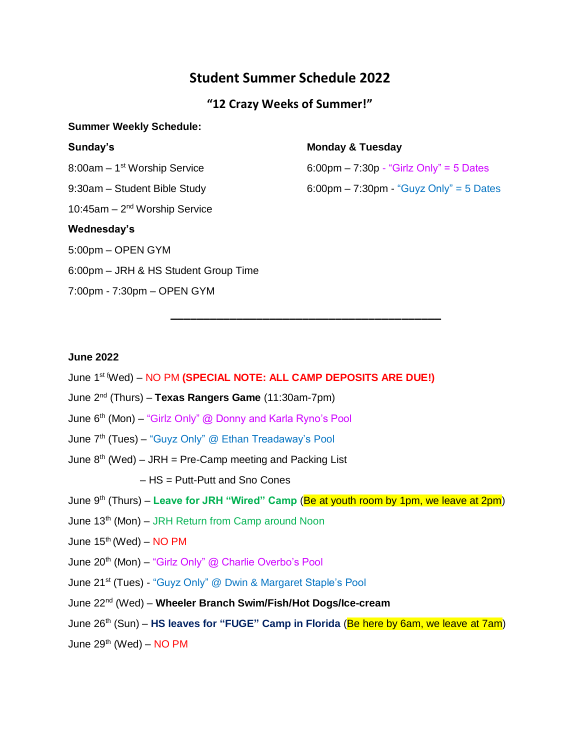# **Student Summer Schedule 2022**

# **"12 Crazy Weeks of Summer!"**

### **Summer Weekly Schedule:**

| Sunday's                                 | <b>Monday &amp; Tuesday</b>                                                |
|------------------------------------------|----------------------------------------------------------------------------|
| 8:00am – 1 <sup>st</sup> Worship Service | $6:00 \text{pm} - 7:30 \text{p} - \text{``Girlz Only''} = 5 \text{ Dates}$ |
| 9:30am – Student Bible Study             | $6:00 \text{pm} - 7:30 \text{pm}$ . "Guyz Only" = 5 Dates                  |
| 10:45am $-2nd$ Worship Service           |                                                                            |
| Wednesday's                              |                                                                            |
| 5:00pm - OPEN GYM                        |                                                                            |
| 6:00pm - JRH & HS Student Group Time     |                                                                            |
| 7:00pm - 7:30pm – OPEN GYM               |                                                                            |
|                                          |                                                                            |

**\_\_\_\_\_\_\_\_\_\_\_\_\_\_\_\_\_\_\_\_\_\_\_\_\_\_\_\_\_\_\_\_\_\_\_\_\_\_\_\_\_**

### **June 2022**

- June 1 st (Wed) NO PM **(SPECIAL NOTE: ALL CAMP DEPOSITS ARE DUE!)**
- June 2<sup>nd</sup> (Thurs) **Texas Rangers Game** (11:30am-7pm)
- June 6<sup>th</sup> (Mon) "Girlz Only" @ Donny and Karla Ryno's Pool
- June 7<sup>th</sup> (Tues) "Guyz Only" @ Ethan Treadaway's Pool
- June 8<sup>th</sup> (Wed) JRH = Pre-Camp meeting and Packing List
	- HS = Putt-Putt and Sno Cones
- June 9<sup>th</sup> (Thurs) Leave for JRH "Wired" Camp (<mark>Be at youth room by 1pm, we leave at 2pm</mark>)
- June 13<sup>th</sup> (Mon) JRH Return from Camp around Noon
- June  $15<sup>th</sup>$  (Wed) NO PM
- June 20<sup>th</sup> (Mon) "Girlz Only" @ Charlie Overbo's Pool
- June 21<sup>st</sup> (Tues) "Guyz Only" @ Dwin & Margaret Staple's Pool
- June 22nd (Wed) **Wheeler Branch Swim/Fish/Hot Dogs/Ice-cream**
- June 26<sup>th</sup> (Sun) **HS leaves for "FUGE" Camp in Florida** (Be here by 6am, we leave at 7am)

June  $29^{th}$  (Wed) – NO PM